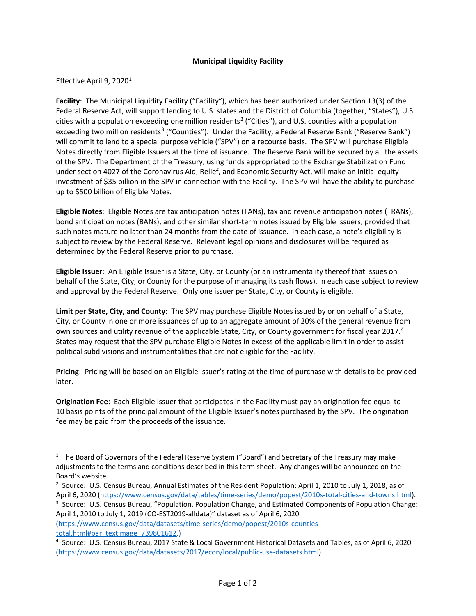## **Municipal Liquidity Facility**

## Effective April 9, 2020<sup>[1](#page-0-0)</sup>

**Facility**: The Municipal Liquidity Facility ("Facility"), which has been authorized under Section 13(3) of the Federal Reserve Act, will support lending to U.S. states and the District of Columbia (together, "States"), U.S. cities with a population exceeding one million residents<sup>[2](#page-0-1)</sup> ("Cities"), and U.S. counties with a population exceeding two million residents<sup>[3](#page-0-2)</sup> ("Counties"). Under the Facility, a Federal Reserve Bank ("Reserve Bank") will commit to lend to a special purpose vehicle ("SPV") on a recourse basis. The SPV will purchase Eligible Notes directly from Eligible Issuers at the time of issuance. The Reserve Bank will be secured by all the assets of the SPV. The Department of the Treasury, using funds appropriated to the Exchange Stabilization Fund under section 4027 of the Coronavirus Aid, Relief, and Economic Security Act, will make an initial equity investment of \$35 billion in the SPV in connection with the Facility. The SPV will have the ability to purchase up to \$500 billion of Eligible Notes.

**Eligible Notes**: Eligible Notes are tax anticipation notes (TANs), tax and revenue anticipation notes (TRANs), bond anticipation notes (BANs), and other similar short-term notes issued by Eligible Issuers, provided that such notes mature no later than 24 months from the date of issuance. In each case, a note's eligibility is subject to review by the Federal Reserve. Relevant legal opinions and disclosures will be required as determined by the Federal Reserve prior to purchase.

**Eligible Issuer**: An Eligible Issuer is a State, City, or County (or an instrumentality thereof that issues on behalf of the State, City, or County for the purpose of managing its cash flows), in each case subject to review and approval by the Federal Reserve. Only one issuer per State, City, or County is eligible.

**Limit per State, City, and County**: The SPV may purchase Eligible Notes issued by or on behalf of a State, City, or County in one or more issuances of up to an aggregate amount of 20% of the general revenue from own sources and utility revenue of the applicable State, City, or County government for fiscal year 2017.<sup>[4](#page-0-3)</sup> States may request that the SPV purchase Eligible Notes in excess of the applicable limit in order to assist political subdivisions and instrumentalities that are not eligible for the Facility.

**Pricing**: Pricing will be based on an Eligible Issuer's rating at the time of purchase with details to be provided later.

**Origination Fee**: Each Eligible Issuer that participates in the Facility must pay an origination fee equal to 10 basis points of the principal amount of the Eligible Issuer's notes purchased by the SPV. The origination fee may be paid from the proceeds of the issuance.

[\(https://www.census.gov/data/datasets/time-series/demo/popest/2010s-counties](https://www.census.gov/data/datasets/time-series/demo/popest/2010s-counties-total.html#par_textimage_739801612)[total.html#par\\_textimage\\_739801612.\)](https://www.census.gov/data/datasets/time-series/demo/popest/2010s-counties-total.html#par_textimage_739801612)

<span id="page-0-0"></span> $\overline{1}$  $1$  The Board of Governors of the Federal Reserve System ("Board") and Secretary of the Treasury may make adjustments to the terms and conditions described in this term sheet. Any changes will be announced on the Board's website.

<span id="page-0-1"></span><sup>&</sup>lt;sup>2</sup> Source: U.S. Census Bureau, Annual Estimates of the Resident Population: April 1, 2010 to July 1, 2018, as of April 6, 2020 [\(https://www.census.gov/data/tables/time-series/demo/popest/2010s-total-cities-and-towns.html\)](https://www.census.gov/data/tables/time-series/demo/popest/2010s-total-cities-and-towns.html).

<span id="page-0-2"></span><sup>&</sup>lt;sup>3</sup> Source: U.S. Census Bureau, "Population, Population Change, and Estimated Components of Population Change: April 1, 2010 to July 1, 2019 (CO-EST2019-alldata)" dataset as of April 6, 2020

<span id="page-0-3"></span><sup>4</sup> Source: U.S. Census Bureau, 2017 State & Local Government Historical Datasets and Tables, as of April 6, 2020 [\(https://www.census.gov/data/datasets/2017/econ/local/public-use-datasets.html\)](https://www.census.gov/data/datasets/2017/econ/local/public-use-datasets.html).